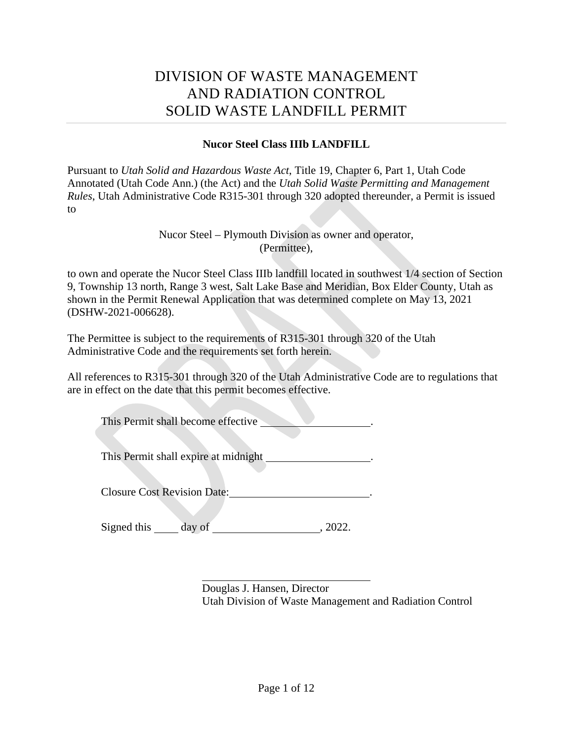# DIVISION OF WASTE MANAGEMENT AND RADIATION CONTROL SOLID WASTE LANDFILL PERMIT

### **Nucor Steel Class IIIb LANDFILL**

Pursuant to *Utah Solid and Hazardous Waste Act*, Title 19, Chapter 6, Part 1, Utah Code Annotated (Utah Code Ann.) (the Act) and the *Utah Solid Waste Permitting and Management Rules*, Utah Administrative Code R315-301 through 320 adopted thereunder, a Permit is issued to

> Nucor Steel – Plymouth Division as owner and operator, (Permittee),

to own and operate the Nucor Steel Class IIIb landfill located in southwest 1/4 section of Section 9, Township 13 north, Range 3 west, Salt Lake Base and Meridian, Box Elder County, Utah as shown in the Permit Renewal Application that was determined complete on May 13, 2021 (DSHW-2021-006628).

The Permittee is subject to the requirements of R315-301 through 320 of the Utah Administrative Code and the requirements set forth herein.

All references to R315-301 through 320 of the Utah Administrative Code are to regulations that are in effect on the date that this permit becomes effective.

This Permit shall become effective .

This Permit shall expire at midnight \_\_\_\_\_\_\_\_\_\_\_\_\_\_\_\_.

Closure Cost Revision Date: .

Signed this day of , 2022.

Douglas J. Hansen, Director Utah Division of Waste Management and Radiation Control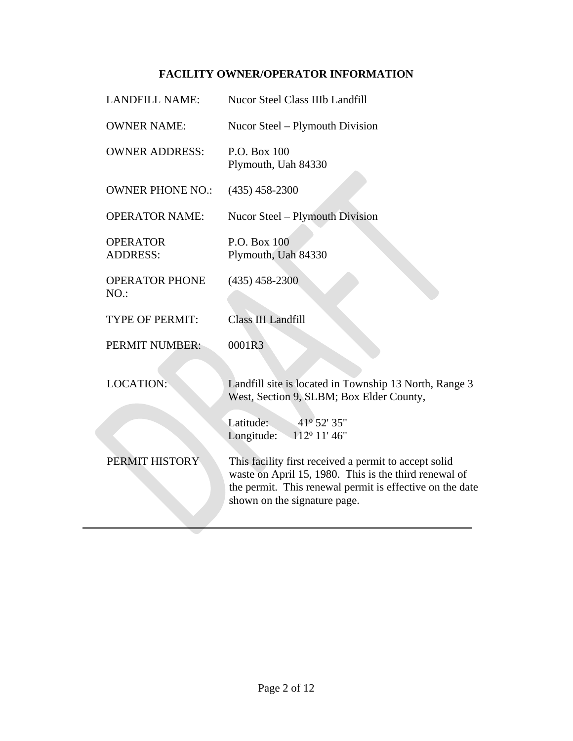# **FACILITY OWNER/OPERATOR INFORMATION**

| <b>LANDFILL NAME:</b>              |  | <b>Nucor Steel Class IIIb Landfill</b>                                                                                                                                                                     |
|------------------------------------|--|------------------------------------------------------------------------------------------------------------------------------------------------------------------------------------------------------------|
| <b>OWNER NAME:</b>                 |  | Nucor Steel – Plymouth Division                                                                                                                                                                            |
| <b>OWNER ADDRESS:</b>              |  | P.O. Box 100<br>Plymouth, Uah 84330                                                                                                                                                                        |
| <b>OWNER PHONE NO.:</b>            |  | $(435)$ 458-2300                                                                                                                                                                                           |
| <b>OPERATOR NAME:</b>              |  | Nucor Steel – Plymouth Division                                                                                                                                                                            |
| <b>OPERATOR</b><br><b>ADDRESS:</b> |  | P.O. Box 100<br>Plymouth, Uah 84330                                                                                                                                                                        |
| <b>OPERATOR PHONE</b><br>NO.       |  | $(435)$ 458-2300                                                                                                                                                                                           |
| <b>TYPE OF PERMIT:</b>             |  | Class III Landfill                                                                                                                                                                                         |
| <b>PERMIT NUMBER:</b>              |  | 0001R3                                                                                                                                                                                                     |
| <b>LOCATION:</b>                   |  | Landfill site is located in Township 13 North, Range 3<br>West, Section 9, SLBM; Box Elder County,                                                                                                         |
|                                    |  | 41 <sup>°</sup> 52' 35"<br>Latitude:<br>$112^{\circ} 11' 46''$<br>Longitude:                                                                                                                               |
| PERMIT HISTORY                     |  | This facility first received a permit to accept solid<br>waste on April 15, 1980. This is the third renewal of<br>the permit. This renewal permit is effective on the date<br>shown on the signature page. |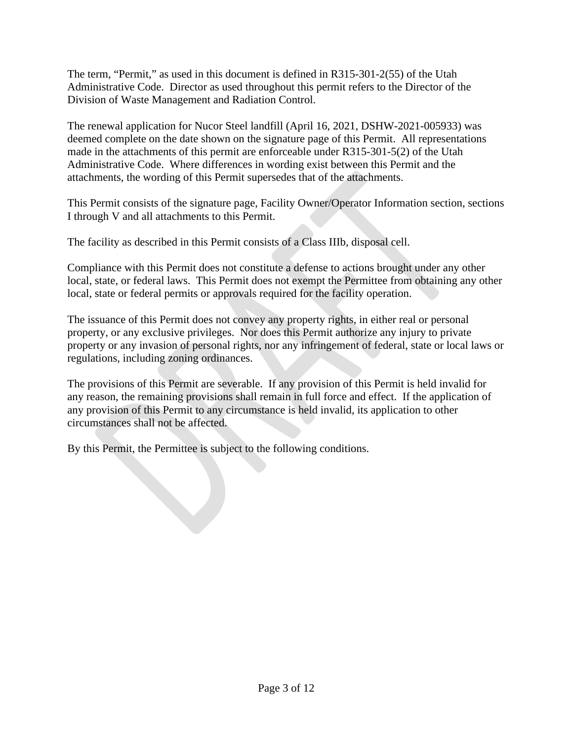The term, "Permit," as used in this document is defined in R315-301-2(55) of the Utah Administrative Code. Director as used throughout this permit refers to the Director of the Division of Waste Management and Radiation Control.

The renewal application for Nucor Steel landfill (April 16, 2021, DSHW-2021-005933) was deemed complete on the date shown on the signature page of this Permit. All representations made in the attachments of this permit are enforceable under R315-301-5(2) of the Utah Administrative Code. Where differences in wording exist between this Permit and the attachments, the wording of this Permit supersedes that of the attachments.

This Permit consists of the signature page, Facility Owner/Operator Information section, sections I through V and all attachments to this Permit.

The facility as described in this Permit consists of a Class IIIb, disposal cell.

Compliance with this Permit does not constitute a defense to actions brought under any other local, state, or federal laws. This Permit does not exempt the Permittee from obtaining any other local, state or federal permits or approvals required for the facility operation.

The issuance of this Permit does not convey any property rights, in either real or personal property, or any exclusive privileges. Nor does this Permit authorize any injury to private property or any invasion of personal rights, nor any infringement of federal, state or local laws or regulations, including zoning ordinances.

The provisions of this Permit are severable. If any provision of this Permit is held invalid for any reason, the remaining provisions shall remain in full force and effect. If the application of any provision of this Permit to any circumstance is held invalid, its application to other circumstances shall not be affected.

By this Permit, the Permittee is subject to the following conditions.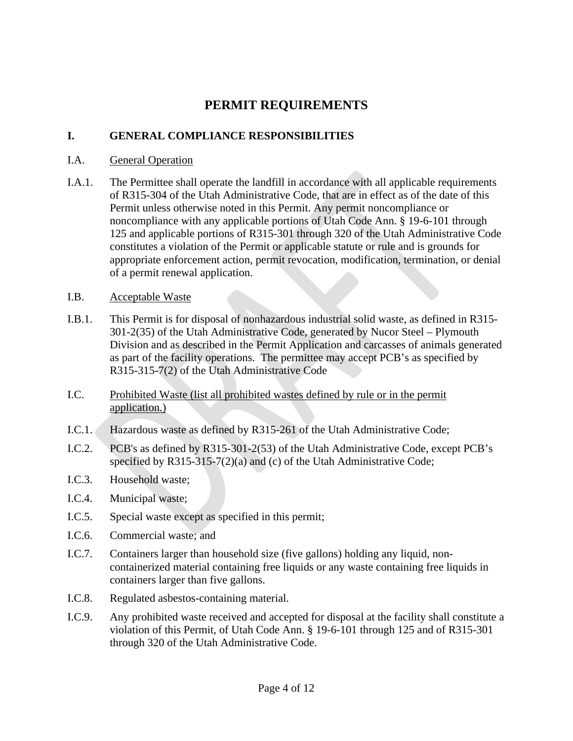# **PERMIT REQUIREMENTS**

# **I. GENERAL COMPLIANCE RESPONSIBILITIES**

## I.A. General Operation

I.A.1. The Permittee shall operate the landfill in accordance with all applicable requirements of R315-304 of the Utah Administrative Code, that are in effect as of the date of this Permit unless otherwise noted in this Permit. Any permit noncompliance or noncompliance with any applicable portions of Utah Code Ann. § 19-6-101 through 125 and applicable portions of R315-301 through 320 of the Utah Administrative Code constitutes a violation of the Permit or applicable statute or rule and is grounds for appropriate enforcement action, permit revocation, modification, termination, or denial of a permit renewal application.

## <span id="page-3-0"></span>I.B. Acceptable Waste

- I.B.1. This Permit is for disposal of nonhazardous industrial solid waste, as defined in R315- 301-2(35) of the Utah Administrative Code, generated by Nucor Steel – Plymouth Division and as described in the Permit Application and carcasses of animals generated as part of the facility operations. The permittee may accept PCB's as specified by R315-315-7(2) of the Utah Administrative Code
- I.C. Prohibited Waste (list all prohibited wastes defined by rule or in the permit application.)
- I.C.1. Hazardous waste as defined by R315-261 of the Utah Administrative Code;
- I.C.2. PCB's as defined by R315-301-2(53) of the Utah Administrative Code, except PCB's specified by R315-315-7(2)(a) and (c) of the Utah Administrative Code;
- I.C.3. Household waste;
- I.C.4. Municipal waste;
- I.C.5. Special waste except as specified in this permit;
- I.C.6. Commercial waste; and
- I.C.7. Containers larger than household size (five gallons) holding any liquid, noncontainerized material containing free liquids or any waste containing free liquids in containers larger than five gallons.
- I.C.8. Regulated asbestos-containing material.
- I.C.9. Any prohibited waste received and accepted for disposal at the facility shall constitute a violation of this Permit, of Utah Code Ann. § 19-6-101 through 125 and of R315-301 through 320 of the Utah Administrative Code.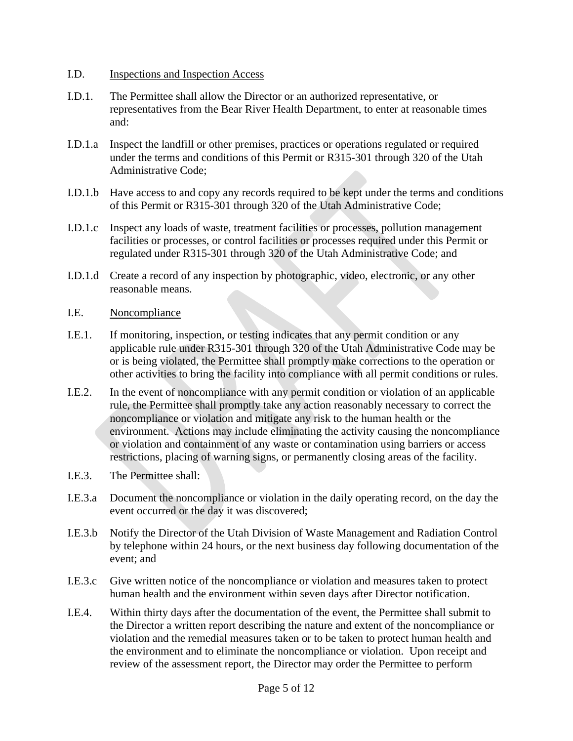#### I.D. Inspections and Inspection Access

- I.D.1. The Permittee shall allow the Director or an authorized representative, or representatives from the Bear River Health Department, to enter at reasonable times and:
- I.D.1.a Inspect the landfill or other premises, practices or operations regulated or required under the terms and conditions of this Permit or R315-301 through 320 of the Utah Administrative Code;
- I.D.1.b Have access to and copy any records required to be kept under the terms and conditions of this Permit or R315-301 through 320 of the Utah Administrative Code;
- I.D.1.c Inspect any loads of waste, treatment facilities or processes, pollution management facilities or processes, or control facilities or processes required under this Permit or regulated under R315-301 through 320 of the Utah Administrative Code; and
- I.D.1.d Create a record of any inspection by photographic, video, electronic, or any other reasonable means.
- I.E. Noncompliance
- I.E.1. If monitoring, inspection, or testing indicates that any permit condition or any applicable rule under R315-301 through 320 of the Utah Administrative Code may be or is being violated, the Permittee shall promptly make corrections to the operation or other activities to bring the facility into compliance with all permit conditions or rules.
- I.E.2. In the event of noncompliance with any permit condition or violation of an applicable rule, the Permittee shall promptly take any action reasonably necessary to correct the noncompliance or violation and mitigate any risk to the human health or the environment. Actions may include eliminating the activity causing the noncompliance or violation and containment of any waste or contamination using barriers or access restrictions, placing of warning signs, or permanently closing areas of the facility.
- I.E.3. The Permittee shall:
- I.E.3.a Document the noncompliance or violation in the daily operating record, on the day the event occurred or the day it was discovered;
- I.E.3.b Notify the Director of the Utah Division of Waste Management and Radiation Control by telephone within 24 hours, or the next business day following documentation of the event; and
- I.E.3.c Give written notice of the noncompliance or violation and measures taken to protect human health and the environment within seven days after Director notification.
- I.E.4. Within thirty days after the documentation of the event, the Permittee shall submit to the Director a written report describing the nature and extent of the noncompliance or violation and the remedial measures taken or to be taken to protect human health and the environment and to eliminate the noncompliance or violation. Upon receipt and review of the assessment report, the Director may order the Permittee to perform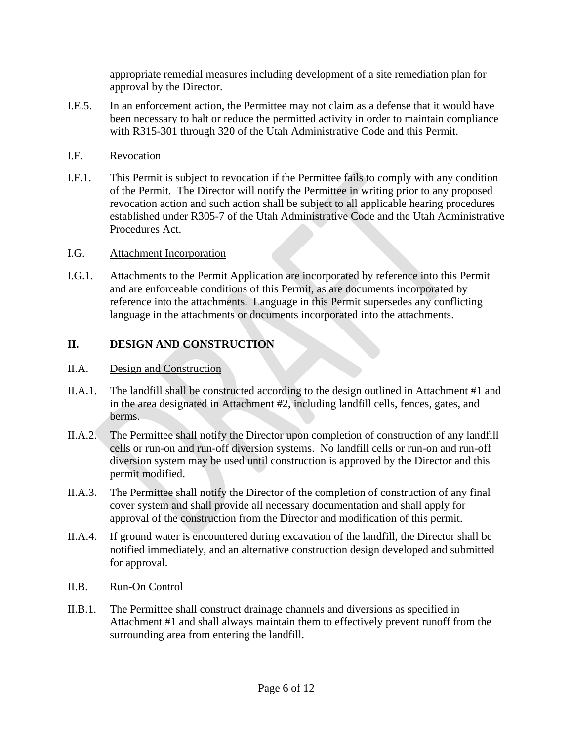appropriate remedial measures including development of a site remediation plan for approval by the Director.

- I.E.5. In an enforcement action, the Permittee may not claim as a defense that it would have been necessary to halt or reduce the permitted activity in order to maintain compliance with R315-301 through 320 of the Utah Administrative Code and this Permit.
- I.F. Revocation
- I.F.1. This Permit is subject to revocation if the Permittee fails to comply with any condition of the Permit. The Director will notify the Permittee in writing prior to any proposed revocation action and such action shall be subject to all applicable hearing procedures established under R305-7 of the Utah Administrative Code and the Utah Administrative Procedures Act.

## I.G. Attachment Incorporation

I.G.1. Attachments to the Permit Application are incorporated by reference into this Permit and are enforceable conditions of this Permit, as are documents incorporated by reference into the attachments. Language in this Permit supersedes any conflicting language in the attachments or documents incorporated into the attachments.

# **II. DESIGN AND CONSTRUCTION**

# II.A. Design and Construction

- II.A.1. The landfill shall be constructed according to the design outlined in Attachment #1 and in the area designated in Attachment #2, including landfill cells, fences, gates, and berms.
- II.A.2. The Permittee shall notify the Director upon completion of construction of any landfill cells or run-on and run-off diversion systems. No landfill cells or run-on and run-off diversion system may be used until construction is approved by the Director and this permit modified.
- II.A.3. The Permittee shall notify the Director of the completion of construction of any final cover system and shall provide all necessary documentation and shall apply for approval of the construction from the Director and modification of this permit.
- II.A.4. If ground water is encountered during excavation of the landfill, the Director shall be notified immediately, and an alternative construction design developed and submitted for approval.

# II.B. Run-On Control

II.B.1. The Permittee shall construct drainage channels and diversions as specified in Attachment #1 and shall always maintain them to effectively prevent runoff from the surrounding area from entering the landfill.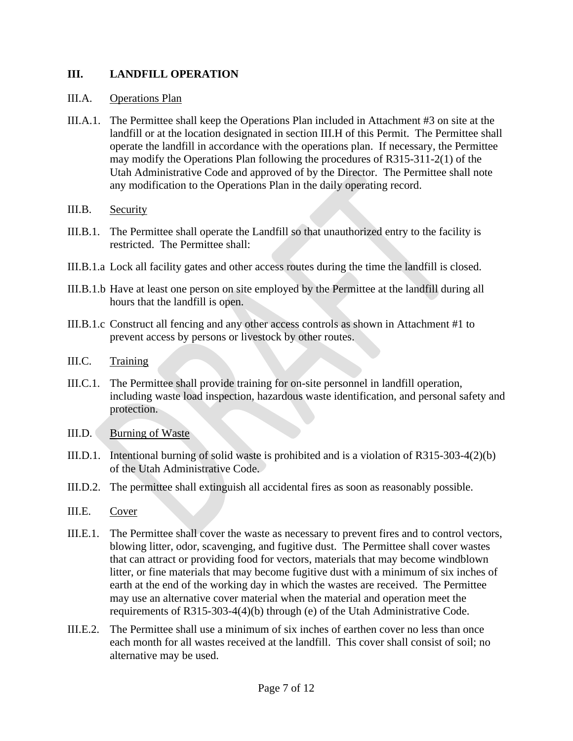## **III. LANDFILL OPERATION**

#### III.A. Operations Plan

- III.A.1. The Permittee shall keep the Operations Plan included in Attachment #3 on site at the landfill or at the location designated in section [III.H](#page-8-0) of this Permit. The Permittee shall operate the landfill in accordance with the operations plan. If necessary, the Permittee may modify the Operations Plan following the procedures of R315-311-2(1) of the Utah Administrative Code and approved of by the Director. The Permittee shall note any modification to the Operations Plan in the daily operating record.
- III.B. Security
- III.B.1. The Permittee shall operate the Landfill so that unauthorized entry to the facility is restricted. The Permittee shall:
- III.B.1.a Lock all facility gates and other access routes during the time the landfill is closed.
- III.B.1.b Have at least one person on site employed by the Permittee at the landfill during all hours that the landfill is open.
- III.B.1.c Construct all fencing and any other access controls as shown in Attachment #1 to prevent access by persons or livestock by other routes.
- III.C. Training
- III.C.1. The Permittee shall provide training for on-site personnel in landfill operation, including waste load inspection, hazardous waste identification, and personal safety and protection.
- III.D. Burning of Waste
- III.D.1. Intentional burning of solid waste is prohibited and is a violation of R315-303-4(2)(b) of the Utah Administrative Code.
- III.D.2. The permittee shall extinguish all accidental fires as soon as reasonably possible.
- III.E. Cover
- III.E.1. The Permittee shall cover the waste as necessary to prevent fires and to control vectors, blowing litter, odor, scavenging, and fugitive dust. The Permittee shall cover wastes that can attract or providing food for vectors, materials that may become windblown litter, or fine materials that may become fugitive dust with a minimum of six inches of earth at the end of the working day in which the wastes are received. The Permittee may use an alternative cover material when the material and operation meet the requirements of R315-303-4(4)(b) through (e) of the Utah Administrative Code.
- III.E.2. The Permittee shall use a minimum of six inches of earthen cover no less than once each month for all wastes received at the landfill. This cover shall consist of soil; no alternative may be used.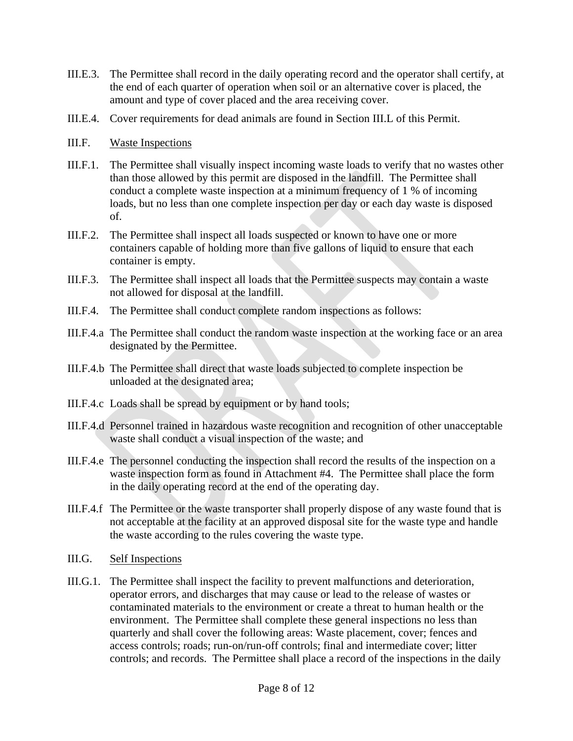- III.E.3. The Permittee shall record in the daily operating record and the operator shall certify, at the end of each quarter of operation when soil or an alternative cover is placed, the amount and type of cover placed and the area receiving cover.
- III.E.4. Cover requirements for dead animals are found in Section [III.L](#page-9-0) of this Permit.
- III.F. Waste Inspections
- III.F.1. The Permittee shall visually inspect incoming waste loads to verify that no wastes other than those allowed by this permit are disposed in the landfill. The Permittee shall conduct a complete waste inspection at a minimum frequency of 1 % of incoming loads, but no less than one complete inspection per day or each day waste is disposed of.
- III.F.2. The Permittee shall inspect all loads suspected or known to have one or more containers capable of holding more than five gallons of liquid to ensure that each container is empty.
- III.F.3. The Permittee shall inspect all loads that the Permittee suspects may contain a waste not allowed for disposal at the landfill.
- III.F.4. The Permittee shall conduct complete random inspections as follows:
- III.F.4.a The Permittee shall conduct the random waste inspection at the working face or an area designated by the Permittee.
- III.F.4.b The Permittee shall direct that waste loads subjected to complete inspection be unloaded at the designated area;
- III.F.4.c Loads shall be spread by equipment or by hand tools;
- III.F.4.d Personnel trained in hazardous waste recognition and recognition of other unacceptable waste shall conduct a visual inspection of the waste; and
- III.F.4.e The personnel conducting the inspection shall record the results of the inspection on a waste inspection form as found in Attachment #4. The Permittee shall place the form in the daily operating record at the end of the operating day.
- III.F.4.f The Permittee or the waste transporter shall properly dispose of any waste found that is not acceptable at the facility at an approved disposal site for the waste type and handle the waste according to the rules covering the waste type.
- III.G. Self Inspections
- III.G.1. The Permittee shall inspect the facility to prevent malfunctions and deterioration, operator errors, and discharges that may cause or lead to the release of wastes or contaminated materials to the environment or create a threat to human health or the environment. The Permittee shall complete these general inspections no less than quarterly and shall cover the following areas: Waste placement, cover; fences and access controls; roads; run-on/run-off controls; final and intermediate cover; litter controls; and records. The Permittee shall place a record of the inspections in the daily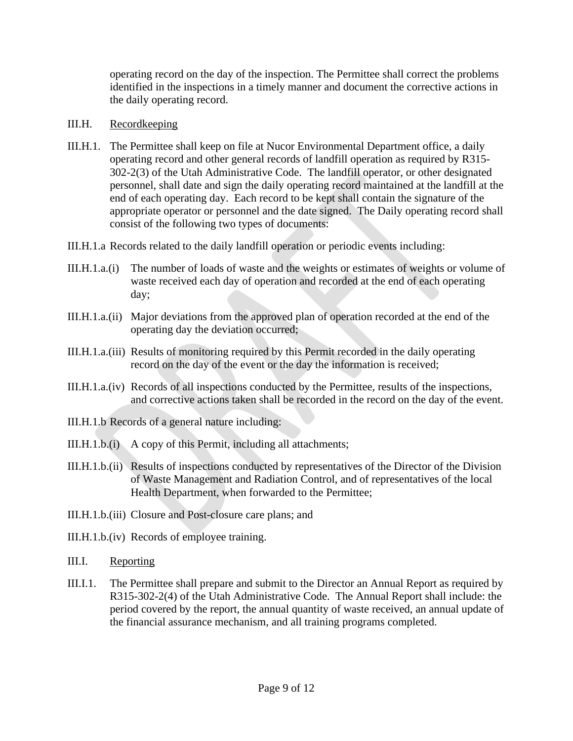operating record on the day of the inspection. The Permittee shall correct the problems identified in the inspections in a timely manner and document the corrective actions in the daily operating record.

#### <span id="page-8-0"></span>III.H. Recordkeeping

- III.H.1. The Permittee shall keep on file at Nucor Environmental Department office, a daily operating record and other general records of landfill operation as required by R315- 302-2(3) of the Utah Administrative Code. The landfill operator, or other designated personnel, shall date and sign the daily operating record maintained at the landfill at the end of each operating day. Each record to be kept shall contain the signature of the appropriate operator or personnel and the date signed. The Daily operating record shall consist of the following two types of documents:
- III.H.1.a Records related to the daily landfill operation or periodic events including:
- III.H.1.a.(i) The number of loads of waste and the weights or estimates of weights or volume of waste received each day of operation and recorded at the end of each operating day;
- III.H.1.a.(ii) Major deviations from the approved plan of operation recorded at the end of the operating day the deviation occurred;
- III.H.1.a.(iii) Results of monitoring required by this Permit recorded in the daily operating record on the day of the event or the day the information is received;
- III.H.1.a.(iv) Records of all inspections conducted by the Permittee, results of the inspections, and corrective actions taken shall be recorded in the record on the day of the event.
- III.H.1.b Records of a general nature including:
- III.H.1.b.(i) A copy of this Permit, including all attachments;
- III.H.1.b.(ii) Results of inspections conducted by representatives of the Director of the Division of Waste Management and Radiation Control, and of representatives of the local Health Department, when forwarded to the Permittee;
- III.H.1.b.(iii) Closure and Post-closure care plans; and
- III.H.1.b.(iv) Records of employee training.
- III.I. Reporting
- III.I.1. The Permittee shall prepare and submit to the Director an Annual Report as required by R315-302-2(4) of the Utah Administrative Code. The Annual Report shall include: the period covered by the report, the annual quantity of waste received, an annual update of the financial assurance mechanism, and all training programs completed.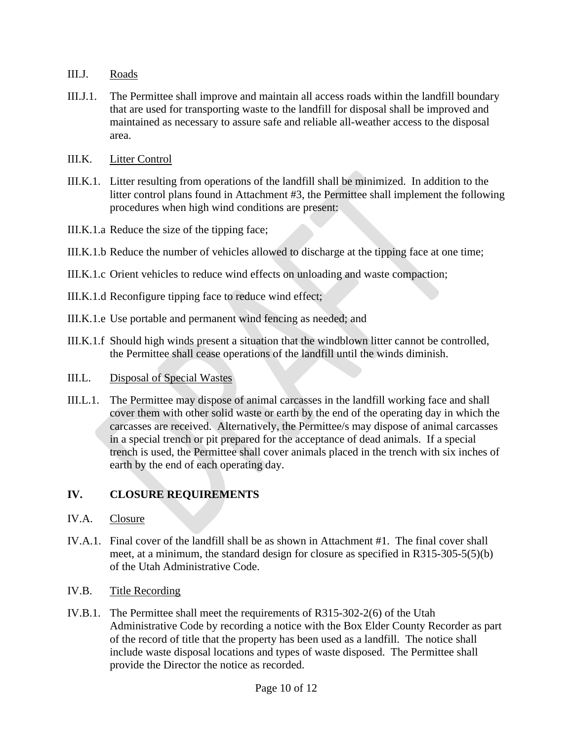- III.J. Roads
- III.J.1. The Permittee shall improve and maintain all access roads within the landfill boundary that are used for transporting waste to the landfill for disposal shall be improved and maintained as necessary to assure safe and reliable all-weather access to the disposal area.
- III.K. Litter Control
- III.K.1. Litter resulting from operations of the landfill shall be minimized. In addition to the litter control plans found in Attachment #3, the Permittee shall implement the following procedures when high wind conditions are present:
- III.K.1.a Reduce the size of the tipping face;
- III.K.1.b Reduce the number of vehicles allowed to discharge at the tipping face at one time;
- III.K.1.c Orient vehicles to reduce wind effects on unloading and waste compaction;
- III.K.1.d Reconfigure tipping face to reduce wind effect;
- III.K.1.e Use portable and permanent wind fencing as needed; and
- III.K.1.f Should high winds present a situation that the windblown litter cannot be controlled, the Permittee shall cease operations of the landfill until the winds diminish.
- <span id="page-9-0"></span>III.L. Disposal of Special Wastes
- III.L.1. The Permittee may dispose of animal carcasses in the landfill working face and shall cover them with other solid waste or earth by the end of the operating day in which the carcasses are received. Alternatively, the Permittee/s may dispose of animal carcasses in a special trench or pit prepared for the acceptance of dead animals. If a special trench is used, the Permittee shall cover animals placed in the trench with six inches of earth by the end of each operating day.

# **IV. CLOSURE REQUIREMENTS**

- IV.A. Closure
- IV.A.1. Final cover of the landfill shall be as shown in Attachment #1. The final cover shall meet, at a minimum, the standard design for closure as specified in R315-305-5(5)(b) of the Utah Administrative Code.
- IV.B. Title Recording
- IV.B.1. The Permittee shall meet the requirements of R315-302-2(6) of the Utah Administrative Code by recording a notice with the Box Elder County Recorder as part of the record of title that the property has been used as a landfill. The notice shall include waste disposal locations and types of waste disposed. The Permittee shall provide the Director the notice as recorded.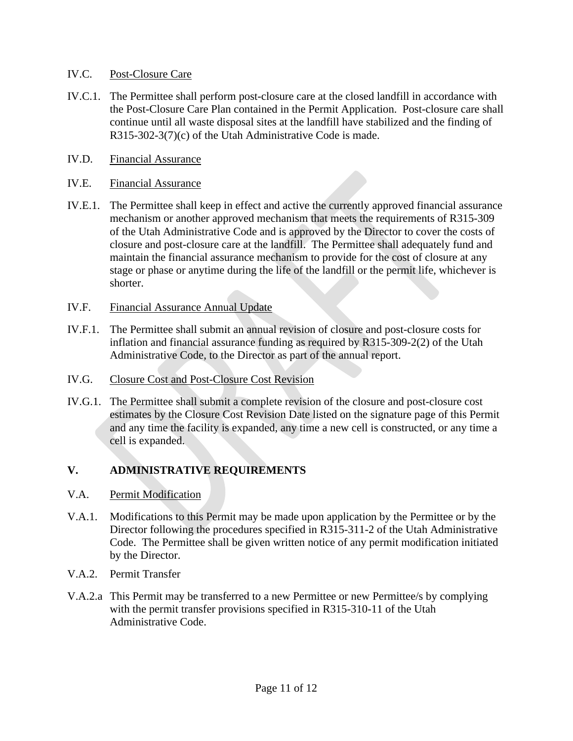### IV.C. Post-Closure Care

- IV.C.1. The Permittee shall perform post-closure care at the closed landfill in accordance with the Post-Closure Care Plan contained in the Permit Application. Post-closure care shall continue until all waste disposal sites at the landfill have stabilized and the finding of R315-302-3(7)(c) of the Utah Administrative Code is made.
- IV.D. Financial Assurance

#### IV.E. Financial Assurance

- IV.E.1. The Permittee shall keep in effect and active the currently approved financial assurance mechanism or another approved mechanism that meets the requirements of R315-309 of the Utah Administrative Code and is approved by the Director to cover the costs of closure and post-closure care at the landfill. The Permittee shall adequately fund and maintain the financial assurance mechanism to provide for the cost of closure at any stage or phase or anytime during the life of the landfill or the permit life, whichever is shorter.
- IV.F. Financial Assurance Annual Update
- IV.F.1. The Permittee shall submit an annual revision of closure and post-closure costs for inflation and financial assurance funding as required by R315-309-2(2) of the Utah Administrative Code, to the Director as part of the annual report.
- IV.G. Closure Cost and Post-Closure Cost Revision
- IV.G.1. The Permittee shall submit a complete revision of the closure and post-closure cost estimates by the Closure Cost Revision Date listed on the signature page of this Permit and any time the facility is expanded, any time a new cell is constructed, or any time a cell is expanded.

### **V. ADMINISTRATIVE REQUIREMENTS**

- V.A. Permit Modification
- V.A.1. Modifications to this Permit may be made upon application by the Permittee or by the Director following the procedures specified in R315-311-2 of the Utah Administrative Code. The Permittee shall be given written notice of any permit modification initiated by the Director.
- V.A.2. Permit Transfer
- V.A.2.a This Permit may be transferred to a new Permittee or new Permittee/s by complying with the permit transfer provisions specified in R315-310-11 of the Utah Administrative Code.